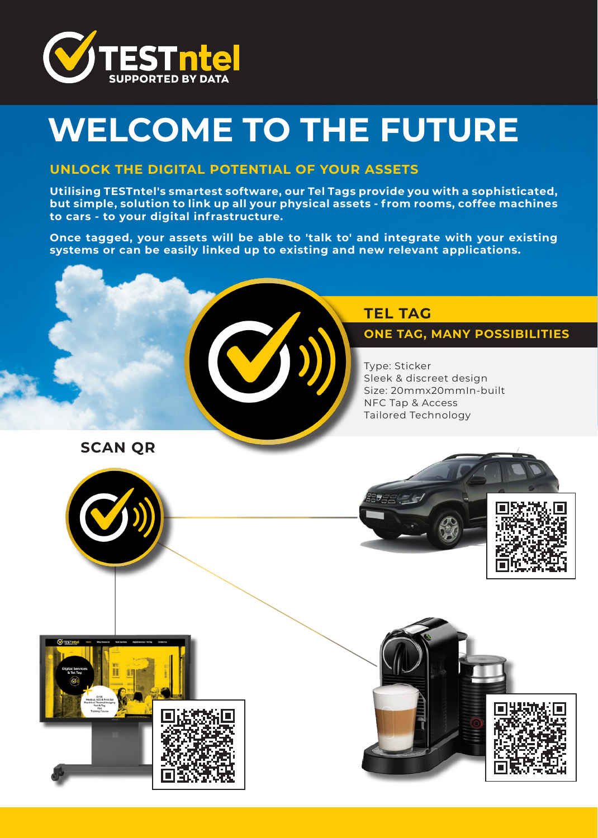

# **WELCOME TO THE FUTURE**

#### **UNLOCK THE DIGITAL POTENTIAL OF YOUR ASSETS**

**Utilising TESTntel's smartest software, our Tel Tags provide you with a sophisticated, but simple, solution to link up all your physical assets - from rooms, coffee machines to cars - to your digital infrastructure.** 

**Once tagged, your assets will be able to 'talk to' and integrate with your existing systems or can be easily linked up to existing and new relevant applications.**



#### **TEL TAG**

#### **ONE TAG, MANY POSSIBILITIES**

Type: Sticker Sleek & discreet design Size: 20mmx20mmIn-built NFC Tap & Access Tailored Technology

**SCAN QR**